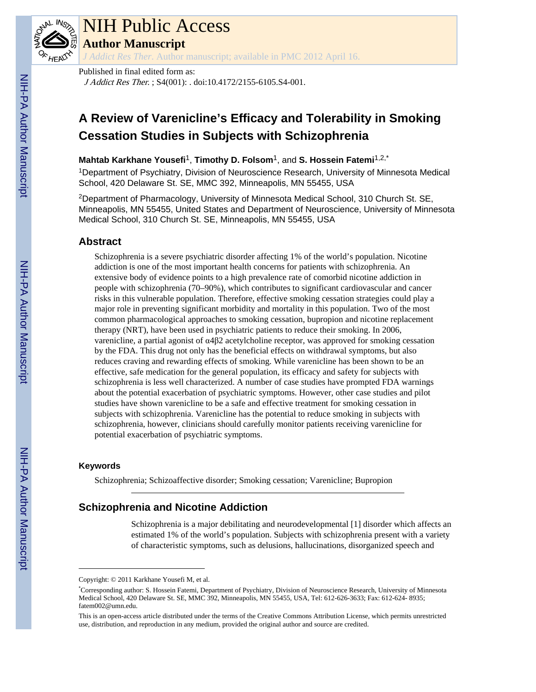

# NIH Public Access

**Author Manuscript**

*J Addict Res Ther*. Author manuscript; available in PMC 2012 April 16.

# Published in final edited form as:

J Addict Res Ther. ; S4(001): . doi:10.4172/2155-6105.S4-001.

# **A Review of Varenicline's Efficacy and Tolerability in Smoking Cessation Studies in Subjects with Schizophrenia**

**Mahtab Karkhane Yousefi**1, **Timothy D. Folsom**1, and **S. Hossein Fatemi**1,2,\*

<sup>1</sup>Department of Psychiatry, Division of Neuroscience Research, University of Minnesota Medical School, 420 Delaware St. SE, MMC 392, Minneapolis, MN 55455, USA

<sup>2</sup>Department of Pharmacology, University of Minnesota Medical School, 310 Church St. SE, Minneapolis, MN 55455, United States and Department of Neuroscience, University of Minnesota Medical School, 310 Church St. SE, Minneapolis, MN 55455, USA

### **Abstract**

Schizophrenia is a severe psychiatric disorder affecting 1% of the world's population. Nicotine addiction is one of the most important health concerns for patients with schizophrenia. An extensive body of evidence points to a high prevalence rate of comorbid nicotine addiction in people with schizophrenia (70–90%), which contributes to significant cardiovascular and cancer risks in this vulnerable population. Therefore, effective smoking cessation strategies could play a major role in preventing significant morbidity and mortality in this population. Two of the most common pharmacological approaches to smoking cessation, bupropion and nicotine replacement therapy (NRT), have been used in psychiatric patients to reduce their smoking. In 2006, varenicline, a partial agonist of α4β2 acetylcholine receptor, was approved for smoking cessation by the FDA. This drug not only has the beneficial effects on withdrawal symptoms, but also reduces craving and rewarding effects of smoking. While varenicline has been shown to be an effective, safe medication for the general population, its efficacy and safety for subjects with schizophrenia is less well characterized. A number of case studies have prompted FDA warnings about the potential exacerbation of psychiatric symptoms. However, other case studies and pilot studies have shown varenicline to be a safe and effective treatment for smoking cessation in subjects with schizophrenia. Varenicline has the potential to reduce smoking in subjects with schizophrenia, however, clinicians should carefully monitor patients receiving varenicline for potential exacerbation of psychiatric symptoms.

#### **Keywords**

Schizophrenia; Schizoaffective disorder; Smoking cessation; Varenicline; Bupropion

## **Schizophrenia and Nicotine Addiction**

Schizophrenia is a major debilitating and neurodevelopmental [1] disorder which affects an estimated 1% of the world's population. Subjects with schizophrenia present with a variety of characteristic symptoms, such as delusions, hallucinations, disorganized speech and

Copyright: © 2011 Karkhane Yousefi M, et al.

<sup>\*</sup>Corresponding author: S. Hossein Fatemi, Department of Psychiatry, Division of Neuroscience Research, University of Minnesota Medical School, 420 Delaware St. SE, MMC 392, Minneapolis, MN 55455, USA, Tel: 612-626-3633; Fax: 612-624- 8935; fatem002@umn.edu.

This is an open-access article distributed under the terms of the Creative Commons Attribution License, which permits unrestricted use, distribution, and reproduction in any medium, provided the original author and source are credited.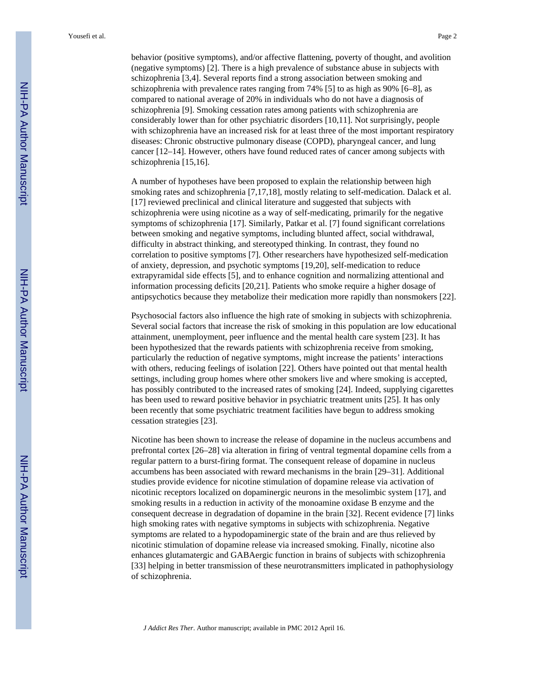behavior (positive symptoms), and/or affective flattening, poverty of thought, and avolition (negative symptoms) [2]. There is a high prevalence of substance abuse in subjects with schizophrenia [3,4]. Several reports find a strong association between smoking and schizophrenia with prevalence rates ranging from 74% [5] to as high as 90% [6–8], as compared to national average of 20% in individuals who do not have a diagnosis of schizophrenia [9]. Smoking cessation rates among patients with schizophrenia are considerably lower than for other psychiatric disorders [10,11]. Not surprisingly, people with schizophrenia have an increased risk for at least three of the most important respiratory diseases: Chronic obstructive pulmonary disease (COPD), pharyngeal cancer, and lung cancer [12–14]. However, others have found reduced rates of cancer among subjects with schizophrenia [15,16].

A number of hypotheses have been proposed to explain the relationship between high smoking rates and schizophrenia [7,17,18], mostly relating to self-medication. Dalack et al. [17] reviewed preclinical and clinical literature and suggested that subjects with schizophrenia were using nicotine as a way of self-medicating, primarily for the negative symptoms of schizophrenia [17]. Similarly, Patkar et al. [7] found significant correlations between smoking and negative symptoms, including blunted affect, social withdrawal, difficulty in abstract thinking, and stereotyped thinking. In contrast, they found no correlation to positive symptoms [7]. Other researchers have hypothesized self-medication of anxiety, depression, and psychotic symptoms [19,20], self-medication to reduce extrapyramidal side effects [5], and to enhance cognition and normalizing attentional and information processing deficits [20,21]. Patients who smoke require a higher dosage of antipsychotics because they metabolize their medication more rapidly than nonsmokers [22].

Psychosocial factors also influence the high rate of smoking in subjects with schizophrenia. Several social factors that increase the risk of smoking in this population are low educational attainment, unemployment, peer influence and the mental health care system [23]. It has been hypothesized that the rewards patients with schizophrenia receive from smoking, particularly the reduction of negative symptoms, might increase the patients' interactions with others, reducing feelings of isolation [22]. Others have pointed out that mental health settings, including group homes where other smokers live and where smoking is accepted, has possibly contributed to the increased rates of smoking [24]. Indeed, supplying cigarettes has been used to reward positive behavior in psychiatric treatment units [25]. It has only been recently that some psychiatric treatment facilities have begun to address smoking cessation strategies [23].

Nicotine has been shown to increase the release of dopamine in the nucleus accumbens and prefrontal cortex [26–28] via alteration in firing of ventral tegmental dopamine cells from a regular pattern to a burst-firing format. The consequent release of dopamine in nucleus accumbens has been associated with reward mechanisms in the brain [29–31]. Additional studies provide evidence for nicotine stimulation of dopamine release via activation of nicotinic receptors localized on dopaminergic neurons in the mesolimbic system [17], and smoking results in a reduction in activity of the monoamine oxidase B enzyme and the consequent decrease in degradation of dopamine in the brain [32]. Recent evidence [7] links high smoking rates with negative symptoms in subjects with schizophrenia. Negative symptoms are related to a hypodopaminergic state of the brain and are thus relieved by nicotinic stimulation of dopamine release via increased smoking. Finally, nicotine also enhances glutamatergic and GABAergic function in brains of subjects with schizophrenia [33] helping in better transmission of these neurotransmitters implicated in pathophysiology of schizophrenia.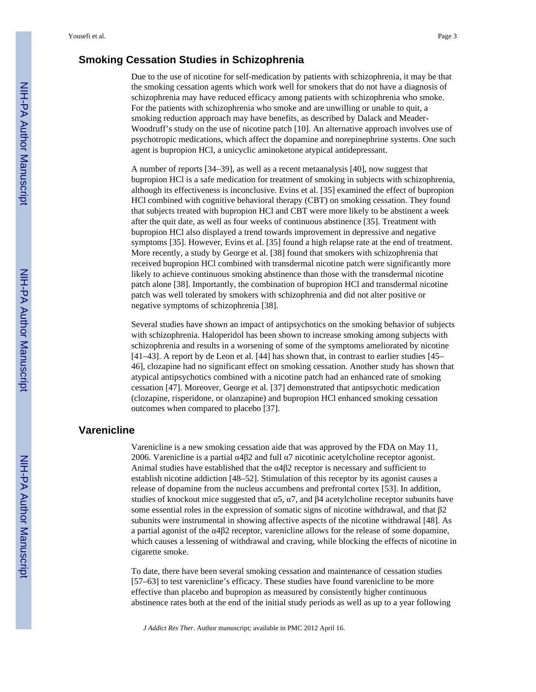#### **Smoking Cessation Studies in Schizophrenia**

Due to the use of nicotine for self-medication by patients with schizophrenia, it may be that the smoking cessation agents which work well for smokers that do not have a diagnosis of schizophrenia may have reduced efficacy among patients with schizophrenia who smoke. For the patients with schizophrenia who smoke and are unwilling or unable to quit, a smoking reduction approach may have benefits, as described by Dalack and Meader-Woodruff's study on the use of nicotine patch [10]. An alternative approach involves use of psychotropic medications, which affect the dopamine and norepinephrine systems. One such agent is bupropion HCl, a unicyclic aminoketone atypical antidepressant.

A number of reports [34–39], as well as a recent metaanalysis [40], now suggest that bupropion HCl is a safe medication for treatment of smoking in subjects with schizophrenia, although its effectiveness is inconclusive. Evins et al. [35] examined the effect of bupropion HCl combined with cognitive behavioral therapy (CBT) on smoking cessation. They found that subjects treated with bupropion HCl and CBT were more likely to be abstinent a week after the quit date, as well as four weeks of continuous abstinence [35]. Treatment with bupropion HCl also displayed a trend towards improvement in depressive and negative symptoms [35]. However, Evins et al. [35] found a high relapse rate at the end of treatment. More recently, a study by George et al. [38] found that smokers with schizophrenia that received bupropion HCl combined with transdermal nicotine patch were significantly more likely to achieve continuous smoking abstinence than those with the transdermal nicotine patch alone [38]. Importantly, the combination of bupropion HCl and transdermal nicotine patch was well tolerated by smokers with schizophrenia and did not alter positive or negative symptoms of schizophrenia [38].

Several studies have shown an impact of antipsychotics on the smoking behavior of subjects with schizophrenia. Haloperidol has been shown to increase smoking among subjects with schizophrenia and results in a worsening of some of the symptoms ameliorated by nicotine [41–43]. A report by de Leon et al. [44] has shown that, in contrast to earlier studies [45– 46], clozapine had no significant effect on smoking cessation. Another study has shown that atypical antipsychotics combined with a nicotine patch had an enhanced rate of smoking cessation [47]. Moreover, George et al. [37] demonstrated that antipsychotic medication (clozapine, risperidone, or olanzapine) and bupropion HCl enhanced smoking cessation outcomes when compared to placebo [37].

#### **Varenicline**

Varenicline is a new smoking cessation aide that was approved by the FDA on May 11, 2006. Varenicline is a partial α4β2 and full α7 nicotinic acetylcholine receptor agonist. Animal studies have established that the  $\alpha$ 4 $\beta$ 2 receptor is necessary and sufficient to establish nicotine addiction [48–52]. Stimulation of this receptor by its agonist causes a release of dopamine from the nucleus accumbens and prefrontal cortex [53]. In addition, studies of knockout mice suggested that  $\alpha$ 5,  $\alpha$ 7, and  $\beta$ 4 acetylcholine receptor subunits have some essential roles in the expression of somatic signs of nicotine withdrawal, and that β2 subunits were instrumental in showing affective aspects of the nicotine withdrawal [48]. As a partial agonist of the α4β2 receptor, varenicline allows for the release of some dopamine, which causes a lessening of withdrawal and craving, while blocking the effects of nicotine in cigarette smoke.

To date, there have been several smoking cessation and maintenance of cessation studies [57–63] to test varenicline's efficacy. These studies have found varenicline to be more effective than placebo and bupropion as measured by consistently higher continuous abstinence rates both at the end of the initial study periods as well as up to a year following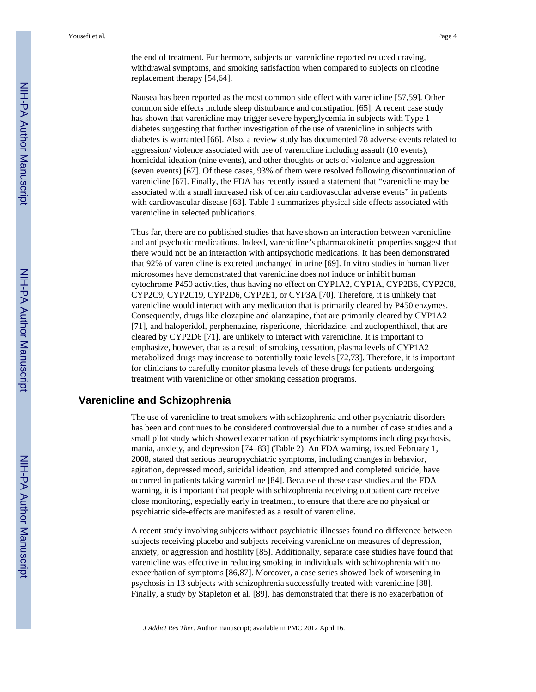the end of treatment. Furthermore, subjects on varenicline reported reduced craving, withdrawal symptoms, and smoking satisfaction when compared to subjects on nicotine replacement therapy [54,64].

Nausea has been reported as the most common side effect with varenicline [57,59]. Other common side effects include sleep disturbance and constipation [65]. A recent case study has shown that varenicline may trigger severe hyperglycemia in subjects with Type 1 diabetes suggesting that further investigation of the use of varenicline in subjects with diabetes is warranted [66]. Also, a review study has documented 78 adverse events related to aggression/ violence associated with use of varenicline including assault (10 events), homicidal ideation (nine events), and other thoughts or acts of violence and aggression (seven events) [67]. Of these cases, 93% of them were resolved following discontinuation of varenicline [67]. Finally, the FDA has recently issued a statement that "varenicline may be associated with a small increased risk of certain cardiovascular adverse events" in patients with cardiovascular disease [68]. Table 1 summarizes physical side effects associated with varenicline in selected publications.

Thus far, there are no published studies that have shown an interaction between varenicline and antipsychotic medications. Indeed, varenicline's pharmacokinetic properties suggest that there would not be an interaction with antipsychotic medications. It has been demonstrated that 92% of varenicline is excreted unchanged in urine [69]. In vitro studies in human liver microsomes have demonstrated that varenicline does not induce or inhibit human cytochrome P450 activities, thus having no effect on CYP1A2, CYP1A, CYP2B6, CYP2C8, CYP2C9, CYP2C19, CYP2D6, CYP2E1, or CYP3A [70]. Therefore, it is unlikely that varenicline would interact with any medication that is primarily cleared by P450 enzymes. Consequently, drugs like clozapine and olanzapine, that are primarily cleared by CYP1A2 [71], and haloperidol, perphenazine, risperidone, thioridazine, and zuclopenthixol, that are cleared by CYP2D6 [71], are unlikely to interact with varenicline. It is important to emphasize, however, that as a result of smoking cessation, plasma levels of CYP1A2 metabolized drugs may increase to potentially toxic levels [72,73]. Therefore, it is important for clinicians to carefully monitor plasma levels of these drugs for patients undergoing treatment with varenicline or other smoking cessation programs.

#### **Varenicline and Schizophrenia**

The use of varenicline to treat smokers with schizophrenia and other psychiatric disorders has been and continues to be considered controversial due to a number of case studies and a small pilot study which showed exacerbation of psychiatric symptoms including psychosis, mania, anxiety, and depression [74–83] (Table 2). An FDA warning, issued February 1, 2008, stated that serious neuropsychiatric symptoms, including changes in behavior, agitation, depressed mood, suicidal ideation, and attempted and completed suicide, have occurred in patients taking varenicline [84]. Because of these case studies and the FDA warning, it is important that people with schizophrenia receiving outpatient care receive close monitoring, especially early in treatment, to ensure that there are no physical or psychiatric side-effects are manifested as a result of varenicline.

A recent study involving subjects without psychiatric illnesses found no difference between subjects receiving placebo and subjects receiving varenicline on measures of depression, anxiety, or aggression and hostility [85]. Additionally, separate case studies have found that varenicline was effective in reducing smoking in individuals with schizophrenia with no exacerbation of symptoms [86,87]. Moreover, a case series showed lack of worsening in psychosis in 13 subjects with schizophrenia successfully treated with varenicline [88]. Finally, a study by Stapleton et al. [89], has demonstrated that there is no exacerbation of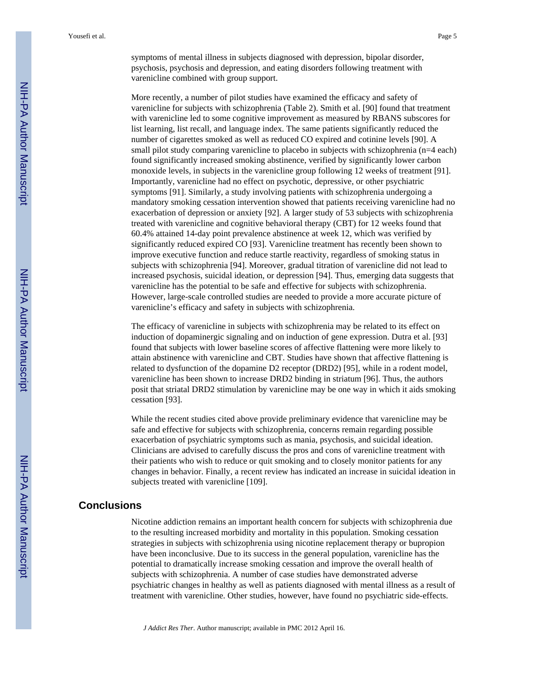symptoms of mental illness in subjects diagnosed with depression, bipolar disorder, psychosis, psychosis and depression, and eating disorders following treatment with varenicline combined with group support.

More recently, a number of pilot studies have examined the efficacy and safety of varenicline for subjects with schizophrenia (Table 2). Smith et al. [90] found that treatment with varenicline led to some cognitive improvement as measured by RBANS subscores for list learning, list recall, and language index. The same patients significantly reduced the number of cigarettes smoked as well as reduced CO expired and cotinine levels [90]. A small pilot study comparing varenicline to placebo in subjects with schizophrenia (n=4 each) found significantly increased smoking abstinence, verified by significantly lower carbon monoxide levels, in subjects in the varenicline group following 12 weeks of treatment [91]. Importantly, varenicline had no effect on psychotic, depressive, or other psychiatric symptoms [91]. Similarly, a study involving patients with schizophrenia undergoing a mandatory smoking cessation intervention showed that patients receiving varenicline had no exacerbation of depression or anxiety [92]. A larger study of 53 subjects with schizophrenia treated with varenicline and cognitive behavioral therapy (CBT) for 12 weeks found that 60.4% attained 14-day point prevalence abstinence at week 12, which was verified by significantly reduced expired CO [93]. Varenicline treatment has recently been shown to improve executive function and reduce startle reactivity, regardless of smoking status in subjects with schizophrenia [94]. Moreover, gradual titration of varenicline did not lead to increased psychosis, suicidal ideation, or depression [94]. Thus, emerging data suggests that varenicline has the potential to be safe and effective for subjects with schizophrenia. However, large-scale controlled studies are needed to provide a more accurate picture of varenicline's efficacy and safety in subjects with schizophrenia.

The efficacy of varenicline in subjects with schizophrenia may be related to its effect on induction of dopaminergic signaling and on induction of gene expression. Dutra et al. [93] found that subjects with lower baseline scores of affective flattening were more likely to attain abstinence with varenicline and CBT. Studies have shown that affective flattening is related to dysfunction of the dopamine D2 receptor (DRD2) [95], while in a rodent model, varenicline has been shown to increase DRD2 binding in striatum [96]. Thus, the authors posit that striatal DRD2 stimulation by varenicline may be one way in which it aids smoking cessation [93].

While the recent studies cited above provide preliminary evidence that varenicline may be safe and effective for subjects with schizophrenia, concerns remain regarding possible exacerbation of psychiatric symptoms such as mania, psychosis, and suicidal ideation. Clinicians are advised to carefully discuss the pros and cons of varenicline treatment with their patients who wish to reduce or quit smoking and to closely monitor patients for any changes in behavior. Finally, a recent review has indicated an increase in suicidal ideation in subjects treated with varenicline [109].

#### **Conclusions**

Nicotine addiction remains an important health concern for subjects with schizophrenia due to the resulting increased morbidity and mortality in this population. Smoking cessation strategies in subjects with schizophrenia using nicotine replacement therapy or bupropion have been inconclusive. Due to its success in the general population, varenicline has the potential to dramatically increase smoking cessation and improve the overall health of subjects with schizophrenia. A number of case studies have demonstrated adverse psychiatric changes in healthy as well as patients diagnosed with mental illness as a result of treatment with varenicline. Other studies, however, have found no psychiatric side-effects.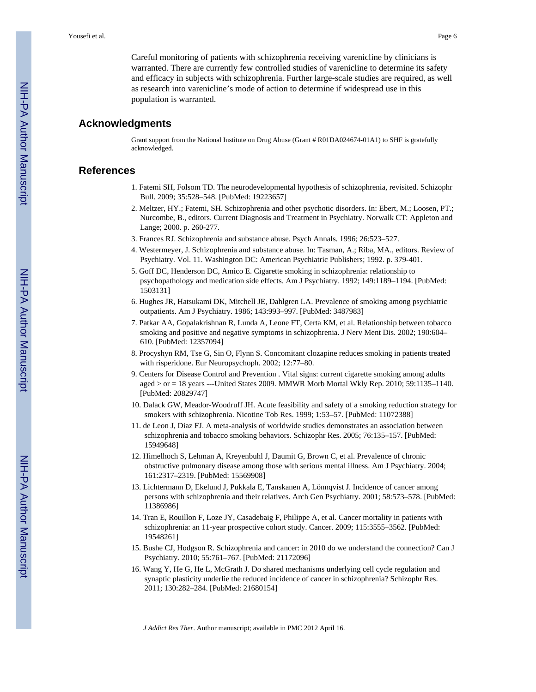Careful monitoring of patients with schizophrenia receiving varenicline by clinicians is warranted. There are currently few controlled studies of varenicline to determine its safety and efficacy in subjects with schizophrenia. Further large-scale studies are required, as well as research into varenicline's mode of action to determine if widespread use in this population is warranted.

#### **Acknowledgments**

Grant support from the National Institute on Drug Abuse (Grant # R01DA024674-01A1) to SHF is gratefully acknowledged.

#### **References**

- 1. Fatemi SH, Folsom TD. The neurodevelopmental hypothesis of schizophrenia, revisited. Schizophr Bull. 2009; 35:528–548. [PubMed: 19223657]
- 2. Meltzer, HY.; Fatemi, SH. Schizophrenia and other psychotic disorders. In: Ebert, M.; Loosen, PT.; Nurcombe, B., editors. Current Diagnosis and Treatment in Psychiatry. Norwalk CT: Appleton and Lange; 2000. p. 260-277.
- 3. Frances RJ. Schizophrenia and substance abuse. Psych Annals. 1996; 26:523–527.
- 4. Westermeyer, J. Schizophrenia and substance abuse. In: Tasman, A.; Riba, MA., editors. Review of Psychiatry. Vol. 11. Washington DC: American Psychiatric Publishers; 1992. p. 379-401.
- 5. Goff DC, Henderson DC, Amico E. Cigarette smoking in schizophrenia: relationship to psychopathology and medication side effects. Am J Psychiatry. 1992; 149:1189–1194. [PubMed: 1503131]
- 6. Hughes JR, Hatsukami DK, Mitchell JE, Dahlgren LA. Prevalence of smoking among psychiatric outpatients. Am J Psychiatry. 1986; 143:993–997. [PubMed: 3487983]
- 7. Patkar AA, Gopalakrishnan R, Lunda A, Leone FT, Certa KM, et al. Relationship between tobacco smoking and positive and negative symptoms in schizophrenia. J Nerv Ment Dis. 2002; 190:604– 610. [PubMed: 12357094]
- 8. Procyshyn RM, Tse G, Sin O, Flynn S. Concomitant clozapine reduces smoking in patients treated with risperidone. Eur Neuropsychoph. 2002; 12:77–80.
- 9. Centers for Disease Control and Prevention . Vital signs: current cigarette smoking among adults aged > or = 18 years ---United States 2009. MMWR Morb Mortal Wkly Rep. 2010; 59:1135–1140. [PubMed: 20829747]
- 10. Dalack GW, Meador-Woodruff JH. Acute feasibility and safety of a smoking reduction strategy for smokers with schizophrenia. Nicotine Tob Res. 1999; 1:53–57. [PubMed: 11072388]
- 11. de Leon J, Diaz FJ. A meta-analysis of worldwide studies demonstrates an association between schizophrenia and tobacco smoking behaviors. Schizophr Res. 2005; 76:135–157. [PubMed: 15949648]
- 12. Himelhoch S, Lehman A, Kreyenbuhl J, Daumit G, Brown C, et al. Prevalence of chronic obstructive pulmonary disease among those with serious mental illness. Am J Psychiatry. 2004; 161:2317–2319. [PubMed: 15569908]
- 13. Lichtermann D, Ekelund J, Pukkala E, Tanskanen A, Lönnqvist J. Incidence of cancer among persons with schizophrenia and their relatives. Arch Gen Psychiatry. 2001; 58:573–578. [PubMed: 11386986]
- 14. Tran E, Rouillon F, Loze JY, Casadebaig F, Philippe A, et al. Cancer mortality in patients with schizophrenia: an 11-year prospective cohort study. Cancer. 2009; 115:3555–3562. [PubMed: 19548261]
- 15. Bushe CJ, Hodgson R. Schizophrenia and cancer: in 2010 do we understand the connection? Can J Psychiatry. 2010; 55:761–767. [PubMed: 21172096]
- 16. Wang Y, He G, He L, McGrath J. Do shared mechanisms underlying cell cycle regulation and synaptic plasticity underlie the reduced incidence of cancer in schizophrenia? Schizophr Res. 2011; 130:282–284. [PubMed: 21680154]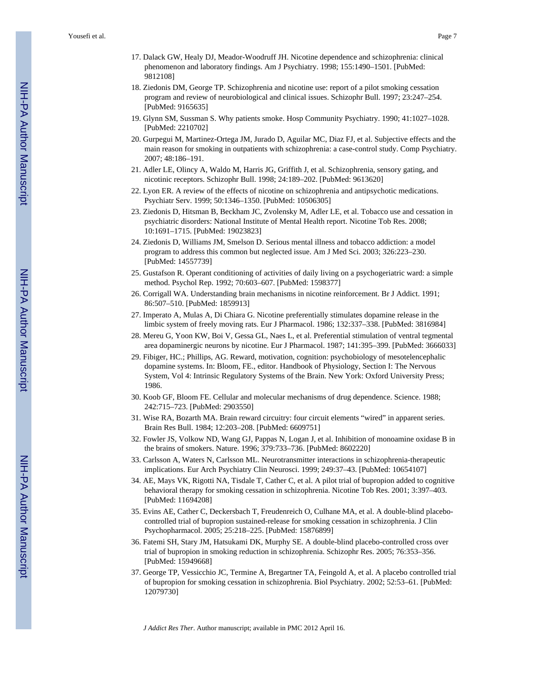- 17. Dalack GW, Healy DJ, Meador-Woodruff JH. Nicotine dependence and schizophrenia: clinical phenomenon and laboratory findings. Am J Psychiatry. 1998; 155:1490–1501. [PubMed: 9812108]
- 18. Ziedonis DM, George TP. Schizophrenia and nicotine use: report of a pilot smoking cessation program and review of neurobiological and clinical issues. Schizophr Bull. 1997; 23:247–254. [PubMed: 9165635]
- 19. Glynn SM, Sussman S. Why patients smoke. Hosp Community Psychiatry. 1990; 41:1027–1028. [PubMed: 2210702]
- 20. Gurpegui M, Martinez-Ortega JM, Jurado D, Aguilar MC, Diaz FJ, et al. Subjective effects and the main reason for smoking in outpatients with schizophrenia: a case-control study. Comp Psychiatry. 2007; 48:186–191.
- 21. Adler LE, Olincy A, Waldo M, Harris JG, Griffith J, et al. Schizophrenia, sensory gating, and nicotinic receptors. Schizophr Bull. 1998; 24:189–202. [PubMed: 9613620]
- 22. Lyon ER. A review of the effects of nicotine on schizophrenia and antipsychotic medications. Psychiatr Serv. 1999; 50:1346–1350. [PubMed: 10506305]
- 23. Ziedonis D, Hitsman B, Beckham JC, Zvolensky M, Adler LE, et al. Tobacco use and cessation in psychiatric disorders: National Institute of Mental Health report. Nicotine Tob Res. 2008; 10:1691–1715. [PubMed: 19023823]
- 24. Ziedonis D, Williams JM, Smelson D. Serious mental illness and tobacco addiction: a model program to address this common but neglected issue. Am J Med Sci. 2003; 326:223–230. [PubMed: 14557739]
- 25. Gustafson R. Operant conditioning of activities of daily living on a psychogeriatric ward: a simple method. Psychol Rep. 1992; 70:603–607. [PubMed: 1598377]
- 26. Corrigall WA. Understanding brain mechanisms in nicotine reinforcement. Br J Addict. 1991; 86:507–510. [PubMed: 1859913]
- 27. Imperato A, Mulas A, Di Chiara G. Nicotine preferentially stimulates dopamine release in the limbic system of freely moving rats. Eur J Pharmacol. 1986; 132:337–338. [PubMed: 3816984]
- 28. Mereu G, Yoon KW, Boi V, Gessa GL, Naes L, et al. Preferential stimulation of ventral tegmental area dopaminergic neurons by nicotine. Eur J Pharmacol. 1987; 141:395–399. [PubMed: 3666033]
- 29. Fibiger, HC.; Phillips, AG. Reward, motivation, cognition: psychobiology of mesotelencephalic dopamine systems. In: Bloom, FE., editor. Handbook of Physiology, Section I: The Nervous System, Vol 4: Intrinsic Regulatory Systems of the Brain. New York: Oxford University Press; 1986.
- 30. Koob GF, Bloom FE. Cellular and molecular mechanisms of drug dependence. Science. 1988; 242:715–723. [PubMed: 2903550]
- 31. Wise RA, Bozarth MA. Brain reward circuitry: four circuit elements "wired" in apparent series. Brain Res Bull. 1984; 12:203–208. [PubMed: 6609751]
- 32. Fowler JS, Volkow ND, Wang GJ, Pappas N, Logan J, et al. Inhibition of monoamine oxidase B in the brains of smokers. Nature. 1996; 379:733–736. [PubMed: 8602220]
- 33. Carlsson A, Waters N, Carlsson ML. Neurotransmitter interactions in schizophrenia-therapeutic implications. Eur Arch Psychiatry Clin Neurosci. 1999; 249:37–43. [PubMed: 10654107]
- 34. AE, Mays VK, Rigotti NA, Tisdale T, Cather C, et al. A pilot trial of bupropion added to cognitive behavioral therapy for smoking cessation in schizophrenia. Nicotine Tob Res. 2001; 3:397–403. [PubMed: 11694208]
- 35. Evins AE, Cather C, Deckersbach T, Freudenreich O, Culhane MA, et al. A double-blind placebocontrolled trial of bupropion sustained-release for smoking cessation in schizophrenia. J Clin Psychopharmacol. 2005; 25:218–225. [PubMed: 15876899]
- 36. Fatemi SH, Stary JM, Hatsukami DK, Murphy SE. A double-blind placebo-controlled cross over trial of bupropion in smoking reduction in schizophrenia. Schizophr Res. 2005; 76:353–356. [PubMed: 15949668]
- 37. George TP, Vessicchio JC, Termine A, Bregartner TA, Feingold A, et al. A placebo controlled trial of bupropion for smoking cessation in schizophrenia. Biol Psychiatry. 2002; 52:53–61. [PubMed: 12079730]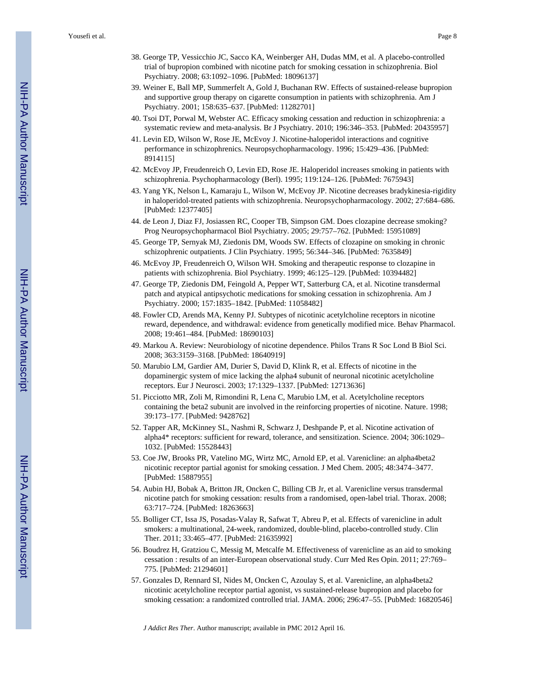- 38. George TP, Vessicchio JC, Sacco KA, Weinberger AH, Dudas MM, et al. A placebo-controlled trial of bupropion combined with nicotine patch for smoking cessation in schizophrenia. Biol Psychiatry. 2008; 63:1092–1096. [PubMed: 18096137]
- 39. Weiner E, Ball MP, Summerfelt A, Gold J, Buchanan RW. Effects of sustained-release bupropion and supportive group therapy on cigarette consumption in patients with schizophrenia. Am J Psychiatry. 2001; 158:635–637. [PubMed: 11282701]
- 40. Tsoi DT, Porwal M, Webster AC. Efficacy smoking cessation and reduction in schizophrenia: a systematic review and meta-analysis. Br J Psychiatry. 2010; 196:346–353. [PubMed: 20435957]
- 41. Levin ED, Wilson W, Rose JE, McEvoy J. Nicotine-haloperidol interactions and cognitive performance in schizophrenics. Neuropsychopharmacology. 1996; 15:429–436. [PubMed: 8914115]
- 42. McEvoy JP, Freudenreich O, Levin ED, Rose JE. Haloperidol increases smoking in patients with schizophrenia. Psychopharmacology (Berl). 1995; 119:124–126. [PubMed: 7675943]
- 43. Yang YK, Nelson L, Kamaraju L, Wilson W, McEvoy JP. Nicotine decreases bradykinesia-rigidity in haloperidol-treated patients with schizophrenia. Neuropsychopharmacology. 2002; 27:684–686. [PubMed: 12377405]
- 44. de Leon J, Diaz FJ, Josiassen RC, Cooper TB, Simpson GM. Does clozapine decrease smoking? Prog Neuropsychopharmacol Biol Psychiatry. 2005; 29:757–762. [PubMed: 15951089]
- 45. George TP, Sernyak MJ, Ziedonis DM, Woods SW. Effects of clozapine on smoking in chronic schizophrenic outpatients. J Clin Psychiatry. 1995; 56:344–346. [PubMed: 7635849]
- 46. McEvoy JP, Freudenreich O, Wilson WH. Smoking and therapeutic response to clozapine in patients with schizophrenia. Biol Psychiatry. 1999; 46:125–129. [PubMed: 10394482]
- 47. George TP, Ziedonis DM, Feingold A, Pepper WT, Satterburg CA, et al. Nicotine transdermal patch and atypical antipsychotic medications for smoking cessation in schizophrenia. Am J Psychiatry. 2000; 157:1835–1842. [PubMed: 11058482]
- 48. Fowler CD, Arends MA, Kenny PJ. Subtypes of nicotinic acetylcholine receptors in nicotine reward, dependence, and withdrawal: evidence from genetically modified mice. Behav Pharmacol. 2008; 19:461–484. [PubMed: 18690103]
- 49. Markou A. Review: Neurobiology of nicotine dependence. Philos Trans R Soc Lond B Biol Sci. 2008; 363:3159–3168. [PubMed: 18640919]
- 50. Marubio LM, Gardier AM, Durier S, David D, Klink R, et al. Effects of nicotine in the dopaminergic system of mice lacking the alpha4 subunit of neuronal nicotinic acetylcholine receptors. Eur J Neurosci. 2003; 17:1329–1337. [PubMed: 12713636]
- 51. Picciotto MR, Zoli M, Rimondini R, Lena C, Marubio LM, et al. Acetylcholine receptors containing the beta2 subunit are involved in the reinforcing properties of nicotine. Nature. 1998; 39:173–177. [PubMed: 9428762]
- 52. Tapper AR, McKinney SL, Nashmi R, Schwarz J, Deshpande P, et al. Nicotine activation of alpha4\* receptors: sufficient for reward, tolerance, and sensitization. Science. 2004; 306:1029– 1032. [PubMed: 15528443]
- 53. Coe JW, Brooks PR, Vatelino MG, Wirtz MC, Arnold EP, et al. Varenicline: an alpha4beta2 nicotinic receptor partial agonist for smoking cessation. J Med Chem. 2005; 48:3474–3477. [PubMed: 15887955]
- 54. Aubin HJ, Bobak A, Britton JR, Oncken C, Billing CB Jr, et al. Varenicline versus transdermal nicotine patch for smoking cessation: results from a randomised, open-label trial. Thorax. 2008; 63:717–724. [PubMed: 18263663]
- 55. Bolliger CT, Issa JS, Posadas-Valay R, Safwat T, Abreu P, et al. Effects of varenicline in adult smokers: a multinational, 24-week, randomized, double-blind, placebo-controlled study. Clin Ther. 2011; 33:465–477. [PubMed: 21635992]
- 56. Boudrez H, Gratziou C, Messig M, Metcalfe M. Effectiveness of varenicline as an aid to smoking cessation : results of an inter-European observational study. Curr Med Res Opin. 2011; 27:769– 775. [PubMed: 21294601]
- 57. Gonzales D, Rennard SI, Nides M, Oncken C, Azoulay S, et al. Varenicline, an alpha4beta2 nicotinic acetylcholine receptor partial agonist, vs sustained-release bupropion and placebo for smoking cessation: a randomized controlled trial. JAMA. 2006; 296:47–55. [PubMed: 16820546]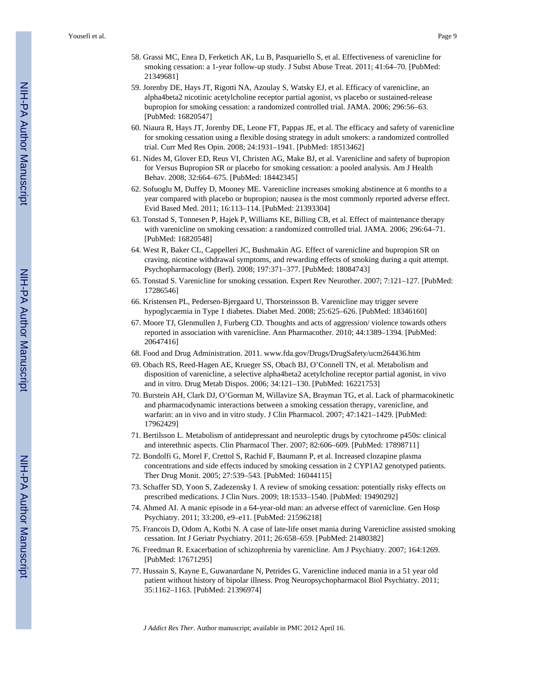- 58. Grassi MC, Enea D, Ferketich AK, Lu B, Pasquariello S, et al. Effectiveness of varenicline for smoking cessation: a 1-year follow-up study. J Subst Abuse Treat. 2011; 41:64–70. [PubMed: 21349681]
- 59. Jorenby DE, Hays JT, Rigotti NA, Azoulay S, Watsky EJ, et al. Efficacy of varenicline, an alpha4beta2 nicotinic acetylcholine receptor partial agonist, vs placebo or sustained-release bupropion for smoking cessation: a randomized controlled trial. JAMA. 2006; 296:56–63. [PubMed: 16820547]
- 60. Niaura R, Hays JT, Jorenby DE, Leone FT, Pappas JE, et al. The efficacy and safety of varenicline for smoking cessation using a flexible dosing strategy in adult smokers: a randomized controlled trial. Curr Med Res Opin. 2008; 24:1931–1941. [PubMed: 18513462]
- 61. Nides M, Glover ED, Reus VI, Christen AG, Make BJ, et al. Varenicline and safety of bupropion for Versus Bupropion SR or placebo for smoking cessation: a pooled analysis. Am J Health Behav. 2008; 32:664–675. [PubMed: 18442345]
- 62. Sofuoglu M, Duffey D, Mooney ME. Varenicline increases smoking abstinence at 6 months to a year compared with placebo or bupropion; nausea is the most commonly reported adverse effect. Evid Based Med. 2011; 16:113–114. [PubMed: 21393304]
- 63. Tonstad S, Tonnesen P, Hajek P, Williams KE, Billing CB, et al. Effect of maintenance therapy with varenicline on smoking cessation: a randomized controlled trial. JAMA. 2006; 296:64–71. [PubMed: 16820548]
- 64. West R, Baker CL, Cappelleri JC, Bushmakin AG. Effect of varenicline and bupropion SR on craving, nicotine withdrawal symptoms, and rewarding effects of smoking during a quit attempt. Psychopharmacology (Berl). 2008; 197:371–377. [PubMed: 18084743]
- 65. Tonstad S. Varenicline for smoking cessation. Expert Rev Neurother. 2007; 7:121–127. [PubMed: 17286546]
- 66. Kristensen PL, Pedersen-Bjergaard U, Thorsteinsson B. Varenicline may trigger severe hypoglycaemia in Type 1 diabetes. Diabet Med. 2008; 25:625–626. [PubMed: 18346160]
- 67. Moore TJ, Glenmullen J, Furberg CD. Thoughts and acts of aggression/ violence towards others reported in association with varenicline. Ann Pharmacother. 2010; 44:1389–1394. [PubMed: 20647416]
- 68. Food and Drug Administration. 2011. www.fda.gov/Drugs/DrugSafety/ucm264436.htm
- 69. Obach RS, Reed-Hagen AE, Krueger SS, Obach BJ, O'Connell TN, et al. Metabolism and disposition of varenicline, a selective alpha4beta2 acetylcholine receptor partial agonist, in vivo and in vitro. Drug Metab Dispos. 2006; 34:121–130. [PubMed: 16221753]
- 70. Burstein AH, Clark DJ, O'Gorman M, Willavize SA, Brayman TG, et al. Lack of pharmacokinetic and pharmacodynamic interactions between a smoking cessation therapy, varenicline, and warfarin: an in vivo and in vitro study. J Clin Pharmacol. 2007; 47:1421–1429. [PubMed: 17962429]
- 71. Bertilsson L. Metabolism of antidepressant and neuroleptic drugs by cytochrome p450s: clinical and interethnic aspects. Clin Pharmacol Ther. 2007; 82:606–609. [PubMed: 17898711]
- 72. Bondolfi G, Morel F, Crettol S, Rachid F, Baumann P, et al. Increased clozapine plasma concentrations and side effects induced by smoking cessation in 2 CYP1A2 genotyped patients. Ther Drug Monit. 2005; 27:539–543. [PubMed: 16044115]
- 73. Schaffer SD, Yoon S, Zadezensky I. A review of smoking cessation: potentially risky effects on prescribed medications. J Clin Nurs. 2009; 18:1533–1540. [PubMed: 19490292]
- 74. Ahmed AI. A manic episode in a 64-year-old man: an adverse effect of varenicline. Gen Hosp Psychiatry. 2011; 33:200, e9–e11. [PubMed: 21596218]
- 75. Francois D, Odom A, Kotbi N. A case of late-life onset mania during Varenicline assisted smoking cessation. Int J Geriatr Psychiatry. 2011; 26:658–659. [PubMed: 21480382]
- 76. Freedman R. Exacerbation of schizophrenia by varenicline. Am J Psychiatry. 2007; 164:1269. [PubMed: 17671295]
- 77. Hussain S, Kayne E, Guwanardane N, Petrides G. Varenicline induced mania in a 51 year old patient without history of bipolar illness. Prog Neuropsychopharmacol Biol Psychiatry. 2011; 35:1162–1163. [PubMed: 21396974]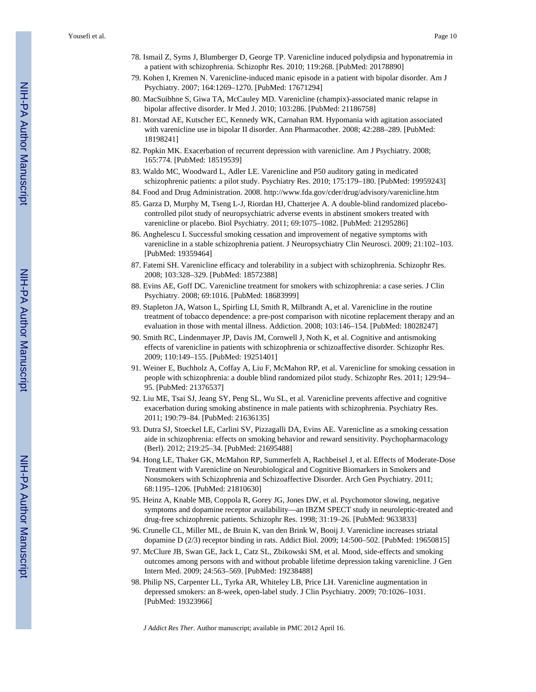- 78. Ismail Z, Syms J, Blumberger D, George TP. Varenicline induced polydipsia and hyponatremia in a patient with schizophrenia. Schizophr Res. 2010; 119:268. [PubMed: 20178890]
- 79. Kohen I, Kremen N. Varenicline-induced manic episode in a patient with bipolar disorder. Am J Psychiatry. 2007; 164:1269–1270. [PubMed: 17671294]
- 80. MacSuibhne S, Giwa TA, McCauley MD. Varenicline (champix)-associated manic relapse in bipolar affective disorder. Ir Med J. 2010; 103:286. [PubMed: 21186758]
- 81. Morstad AE, Kutscher EC, Kennedy WK, Carnahan RM. Hypomania with agitation associated with varenicline use in bipolar II disorder. Ann Pharmacother. 2008; 42:288–289. [PubMed: 18198241]
- 82. Popkin MK. Exacerbation of recurrent depression with varenicline. Am J Psychiatry. 2008; 165:774. [PubMed: 18519539]
- 83. Waldo MC, Woodward L, Adler LE. Varenicline and P50 auditory gating in medicated schizophrenic patients: a pilot study. Psychiatry Res. 2010; 175:179–180. [PubMed: 19959243]
- 84. Food and Drug Administration. 2008. <http://www.fda.gov/cder/drug/advisory/varenicline.htm>
- 85. Garza D, Murphy M, Tseng L-J, Riordan HJ, Chatterjee A. A double-blind randomized placebocontrolled pilot study of neuropsychiatric adverse events in abstinent smokers treated with varenicline or placebo. Biol Psychiatry. 2011; 69:1075–1082. [PubMed: 21295286]
- 86. Anghelescu I. Successful smoking cessation and improvement of negative symptoms with varenicline in a stable schizophrenia patient. J Neuropsychiatry Clin Neurosci. 2009; 21:102–103. [PubMed: 19359464]
- 87. Fatemi SH. Varenicline efficacy and tolerability in a subject with schizophrenia. Schizophr Res. 2008; 103:328–329. [PubMed: 18572388]
- 88. Evins AE, Goff DC. Varenicline treatment for smokers with schizophrenia: a case series. J Clin Psychiatry. 2008; 69:1016. [PubMed: 18683999]
- 89. Stapleton JA, Watson L, Spirling LI, Smith R, Milbrandt A, et al. Varenicline in the routine treatment of tobacco dependence: a pre-post comparison with nicotine replacement therapy and an evaluation in those with mental illness. Addiction. 2008; 103:146–154. [PubMed: 18028247]
- 90. Smith RC, Lindenmayer JP, Davis JM, Cornwell J, Noth K, et al. Cognitive and antismoking effects of varenicline in patients with schizophrenia or schizoaffective disorder. Schizophr Res. 2009; 110:149–155. [PubMed: 19251401]
- 91. Weiner E, Buchholz A, Coffay A, Liu F, McMahon RP, et al. Varenicline for smoking cessation in people with schizophrenia: a double blind randomized pilot study. Schizophr Res. 2011; 129:94– 95. [PubMed: 21376537]
- 92. Liu ME, Tsai SJ, Jeang SY, Peng SL, Wu SL, et al. Varenicline prevents affective and cognitive exacerbation during smoking abstinence in male patients with schizophrenia. Psychiatry Res. 2011; 190:79–84. [PubMed: 21636135]
- 93. Dutra SJ, Stoeckel LE, Carlini SV, Pizzagalli DA, Evins AE. Varenicline as a smoking cessation aide in schizophrenia: effects on smoking behavior and reward sensitivity. Psychopharmacology (Berl). 2012; 219:25–34. [PubMed: 21695488]
- 94. Hong LE, Thaker GK, McMahon RP, Summerfelt A, Rachbeisel J, et al. Effects of Moderate-Dose Treatment with Varenicline on Neurobiological and Cognitive Biomarkers in Smokers and Nonsmokers with Schizophrenia and Schizoaffective Disorder. Arch Gen Psychiatry. 2011; 68:1195–1206. [PubMed: 21810630]
- 95. Heinz A, Knable MB, Coppola R, Gorey JG, Jones DW, et al. Psychomotor slowing, negative symptoms and dopamine receptor availability—an IBZM SPECT study in neuroleptic-treated and drug-free schizophrenic patients. Schizophr Res. 1998; 31:19–26. [PubMed: 9633833]
- 96. Crunelle CL, Miller ML, de Bruin K, van den Brink W, Booij J. Varenicline increases striatal dopamine D (2/3) receptor binding in rats. Addict Biol. 2009; 14:500–502. [PubMed: 19650815]
- 97. McClure JB, Swan GE, Jack L, Catz SL, Zbikowski SM, et al. Mood, side-effects and smoking outcomes among persons with and without probable lifetime depression taking varenicline. J Gen Intern Med. 2009; 24:563–569. [PubMed: 19238488]
- 98. Philip NS, Carpenter LL, Tyrka AR, Whiteley LB, Price LH. Varenicline augmentation in depressed smokers: an 8-week, open-label study. J Clin Psychiatry. 2009; 70:1026–1031. [PubMed: 19323966]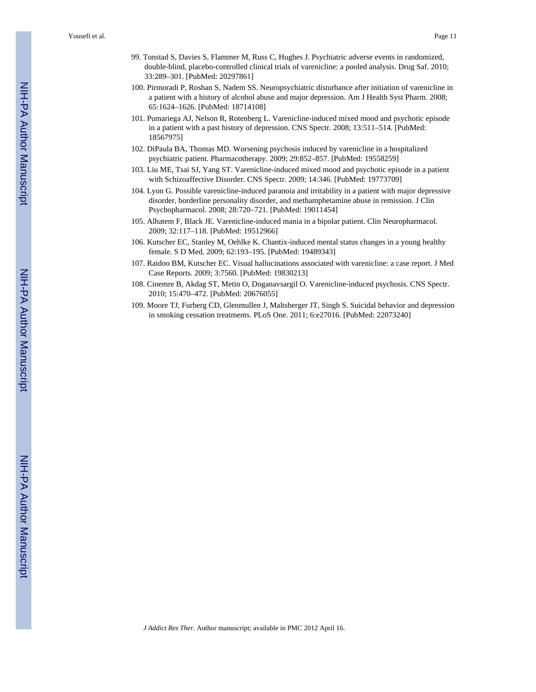- 99. Tonstad S, Davies S, Flammer M, Russ C, Hughes J. Psychiatric adverse events in randomized, double-blind, placebo-controlled clinical trials of varenicline: a pooled analysis. Drug Saf. 2010; 33:289–301. [PubMed: 20297861]
- 100. Pirmoradi P, Roshan S, Nadem SS. Neuropsychiatric disturbance after initiation of varenicline in a patient with a history of alcohol abuse and major depression. Am J Health Syst Pharm. 2008; 65:1624–1626. [PubMed: 18714108]
- 101. Pumariega AJ, Nelson R, Rotenberg L. Varenicline-induced mixed mood and psychotic episode in a patient with a past history of depression. CNS Spectr. 2008; 13:511–514. [PubMed: 18567975]
- 102. DiPaula BA, Thomas MD. Worsening psychosis induced by varenicline in a hospitalized psychiatric patient. Pharmacotherapy. 2009; 29:852–857. [PubMed: 19558259]
- 103. Liu ME, Tsai SJ, Yang ST. Varenicline-induced mixed mood and psychotic episode in a patient with Schizoaffective Disorder. CNS Spectr. 2009; 14:346. [PubMed: 19773709]
- 104. Lyon G. Possible varenicline-induced paranoia and irritability in a patient with major depressive disorder, borderline personality disorder, and methamphetamine abuse in remission. J Clin Psychopharmacol. 2008; 28:720–721. [PubMed: 19011454]
- 105. Alhatem F, Black JE. Varenicline-induced mania in a bipolar patient. Clin Neuropharmacol. 2009; 32:117–118. [PubMed: 19512966]
- 106. Kutscher EC, Stanley M, Oehlke K. Chantix-induced mental status changes in a young healthy female. S D Med. 2009; 62:193–195. [PubMed: 19489343]
- 107. Raidoo BM, Kutscher EC. Visual hallucinations associated with varenicline: a case report. J Med Case Reports. 2009; 3:7560. [PubMed: 19830213]
- 108. Cinemre B, Akdag ST, Metin O, Doganavsargil O. Varenicline-induced psychosis. CNS Spectr. 2010; 15:470–472. [PubMed: 20676055]
- 109. Moore TJ, Furberg CD, Glenmullen J, Maltsberger JT, Singh S. Suicidal behavior and depression in smoking cessation treatments. PLoS One. 2011; 6:e27016. [PubMed: 22073240]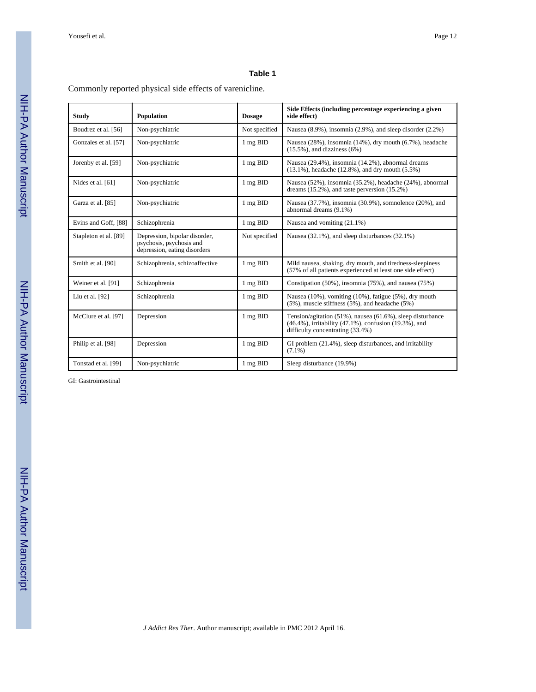#### **Table 1**

Commonly reported physical side effects of varenicline.

| <b>Study</b>          | Population                                                                                | <b>Dosage</b> | Side Effects (including percentage experiencing a given<br>side effect)                                                                                         |  |
|-----------------------|-------------------------------------------------------------------------------------------|---------------|-----------------------------------------------------------------------------------------------------------------------------------------------------------------|--|
| Boudrez et al. [56]   | Non-psychiatric                                                                           | Not specified | Nausea $(8.9\%)$ , insomnia $(2.9\%)$ , and sleep disorder $(2.2\%)$                                                                                            |  |
| Gonzales et al. [57]  | Non-psychiatric                                                                           | 1 mg BID      | Nausea (28%), insomnia (14%), dry mouth (6.7%), headache<br>$(15.5\%)$ , and dizziness $(6\%)$                                                                  |  |
| Jorenby et al. [59]   | Non-psychiatric                                                                           | 1 mg BID      | Nausea (29.4%), insomnia (14.2%), abnormal dreams<br>$(13.1\%)$ , headache $(12.8\%)$ , and dry mouth $(5.5\%)$                                                 |  |
| Nides et al. [61]     | Non-psychiatric                                                                           | 1 mg BID      | Nausea (52%), insomnia (35.2%), headache (24%), abnormal<br>dreams $(15.2\%)$ , and taste perversion $(15.2\%)$                                                 |  |
| Garza et al. [85]     | Non-psychiatric                                                                           | 1 mg BID      | Nausea (37.7%), insomnia (30.9%), somnolence (20%), and<br>abnormal dreams (9.1%)                                                                               |  |
| Evins and Goff, [88]  | Schizophrenia                                                                             | 1 mg BID      | Nausea and vomiting (21.1%)                                                                                                                                     |  |
| Stapleton et al. [89] | Depression, bipolar disorder,<br>psychosis, psychosis and<br>depression, eating disorders | Not specified | Nausea (32.1%), and sleep disturbances (32.1%)                                                                                                                  |  |
| Smith et al. [90]     | Schizophrenia, schizoaffective                                                            | 1 mg BID      | Mild nausea, shaking, dry mouth, and tiredness-sleepiness<br>(57% of all patients experienced at least one side effect)                                         |  |
| Weiner et al. [91]    | Schizophrenia                                                                             | 1 mg BID      | Constipation (50%), insomnia (75%), and nausea (75%)                                                                                                            |  |
| Liu et al. [92]       | Schizophrenia                                                                             | 1 mg BID      | Nausea (10%), vomiting (10%), fatigue (5%), dry mouth<br>$(5\%)$ , muscle stiffness $(5\%)$ , and headache $(5\%)$                                              |  |
| McClure et al. [97]   | Depression                                                                                | 1 mg BID      | Tension/agitation $(51\%)$ , nausea $(61.6\%)$ , sleep disturbance<br>(46.4%), irritability (47.1%), confusion (19.3%), and<br>difficulty concentrating (33.4%) |  |
| Philip et al. [98]    | Depression                                                                                | 1 mg BID      | GI problem (21.4%), sleep disturbances, and irritability<br>$(7.1\%)$                                                                                           |  |
| Tonstad et al. [99]   | Non-psychiatric                                                                           | 1 mg BID      | Sleep disturbance (19.9%)                                                                                                                                       |  |

GI: Gastrointestinal

NIH-PA Author Manuscript NIH-PA Author Manuscript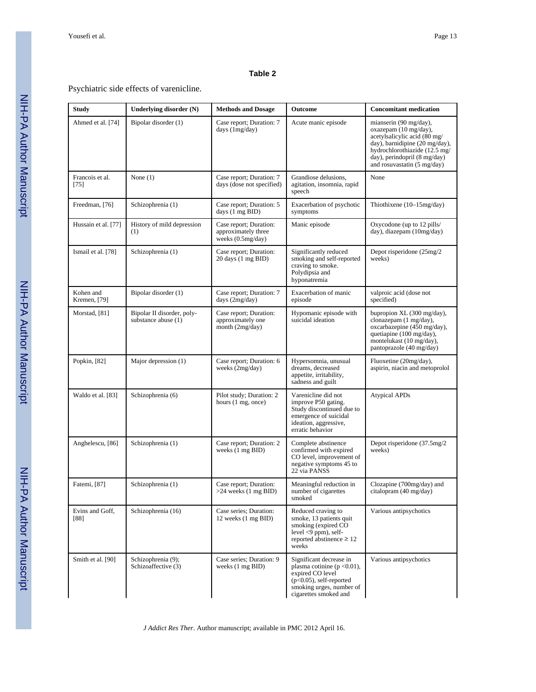#### **Table 2**

#### Psychiatric side effects of varenicline.

| <b>Study</b>              | Underlying disorder (N)                           | <b>Methods and Dosage</b>                                            | <b>Outcome</b>                                                                                                                                                    | <b>Concomitant medication</b>                                                                                                                                                                                               |
|---------------------------|---------------------------------------------------|----------------------------------------------------------------------|-------------------------------------------------------------------------------------------------------------------------------------------------------------------|-----------------------------------------------------------------------------------------------------------------------------------------------------------------------------------------------------------------------------|
| Ahmed et al. [74]         | Bipolar disorder (1)                              | Case report; Duration: 7<br>days (1mg/day)                           | Acute manic episode                                                                                                                                               | mianserin (90 mg/day),<br>oxazepam (10 mg/day),<br>acetylsalicylic acid (80 mg/<br>day), barnidipine (20 mg/day),<br>hydrochlorothiazide (12.5 mg/<br>day), perindopril (8 mg/day)<br>and rosuvastatin $(5 \text{ mg/day})$ |
| Francois et al.<br>$[75]$ | None $(1)$                                        | Case report; Duration: 7<br>days (dose not specified)                | Grandiose delusions,<br>agitation, insomnia, rapid<br>speech                                                                                                      | None                                                                                                                                                                                                                        |
| Freedman, [76]            | Schizophrenia (1)                                 | Case report; Duration: 5<br>days (1 mg BID)                          | Exacerbation of psychotic<br>symptoms                                                                                                                             | Thiothixene (10-15mg/day)                                                                                                                                                                                                   |
| Hussain et al. [77]       | History of mild depression<br>(1)                 | Case report; Duration:<br>approximately three<br>weeks $(0.5mg/day)$ | Manic episode                                                                                                                                                     | Oxycodone (up to 12 pills/<br>day), diazepam (10mg/day)                                                                                                                                                                     |
| Ismail et al. [78]        | Schizophrenia (1)                                 | Case report; Duration:<br>20 days (1 mg BID)                         | Significantly reduced<br>smoking and self-reported<br>craving to smoke.<br>Polydipsia and<br>hyponatremia                                                         | Depot risperidone (25mg/2)<br>weeks)                                                                                                                                                                                        |
| Kohen and<br>Kremen, [79] | Bipolar disorder (1)                              | Case report; Duration: 7<br>days (2mg/day)                           | Exacerbation of manic<br>episode                                                                                                                                  | valproic acid (dose not<br>specified)                                                                                                                                                                                       |
| Morstad, [81]             | Bipolar II disorder, poly-<br>substance abuse (1) | Case report; Duration:<br>approximately one<br>month $(2mg/day)$     | Hypomanic episode with<br>suicidal ideation                                                                                                                       | bupropion XL (300 mg/day),<br>clonazepam $(1 \text{ mg/day})$ ,<br>oxcarbazepine (450 mg/day),<br>quetiapine (100 mg/day),<br>montelukast (10 mg/day),<br>pantoprazole (40 mg/day)                                          |
| Popkin, [82]              | Major depression (1)                              | Case report; Duration: 6<br>weeks (2mg/day)                          | Hypersomnia, unusual<br>dreams, decreased<br>appetite, irritability,<br>sadness and guilt                                                                         | Fluoxetine (20mg/day),<br>aspirin, niacin and metoprolol                                                                                                                                                                    |
| Waldo et al. [83]         | Schizophrenia (6)                                 | Pilot study; Duration: 2<br>hours (1 mg, once)                       | Varenicline did not<br>improve P50 gating.<br>Study discontinued due to<br>emergence of suicidal<br>ideation, aggressive,<br>erratic behavior                     | <b>Atypical APDs</b>                                                                                                                                                                                                        |
| Anghelescu, [86]          | Schizophrenia (1)                                 | Case report; Duration: 2<br>weeks (1 mg BID)                         | Complete abstinence<br>confirmed with expired<br>CO level, improvement of<br>negative symptoms 45 to<br>22 via PANSS                                              | Depot risperidone (37.5mg/2)<br>weeks)                                                                                                                                                                                      |
| Fatemi, [87]              | Schizophrenia (1)                                 | Case report; Duration:<br>>24 weeks (1 mg BID)                       | Meaningful reduction in<br>number of cigarettes<br>smoked                                                                                                         | Clozapine (700mg/day) and<br>citalopram (40 mg/day)                                                                                                                                                                         |
| Evins and Goff,<br>[88]   | Schizophrenia (16)                                | Case series; Duration:<br>12 weeks (1 mg BID)                        | Reduced craving to<br>smoke, 13 patients quit<br>smoking (expired CO)<br>$level < 9$ ppm), self-<br>reported abstinence $\geq 12$<br>weeks                        | Various antipsychotics                                                                                                                                                                                                      |
| Smith et al. [90]         | Schizophrenia (9);<br>Schizoaffective (3)         | Case series; Duration: 9<br>weeks (1 mg BID)                         | Significant decrease in<br>plasma cotinine ( $p < 0.01$ ),<br>expired CO level<br>$(p<0.05)$ , self-reported<br>smoking urges, number of<br>cigarettes smoked and | Various antipsychotics                                                                                                                                                                                                      |